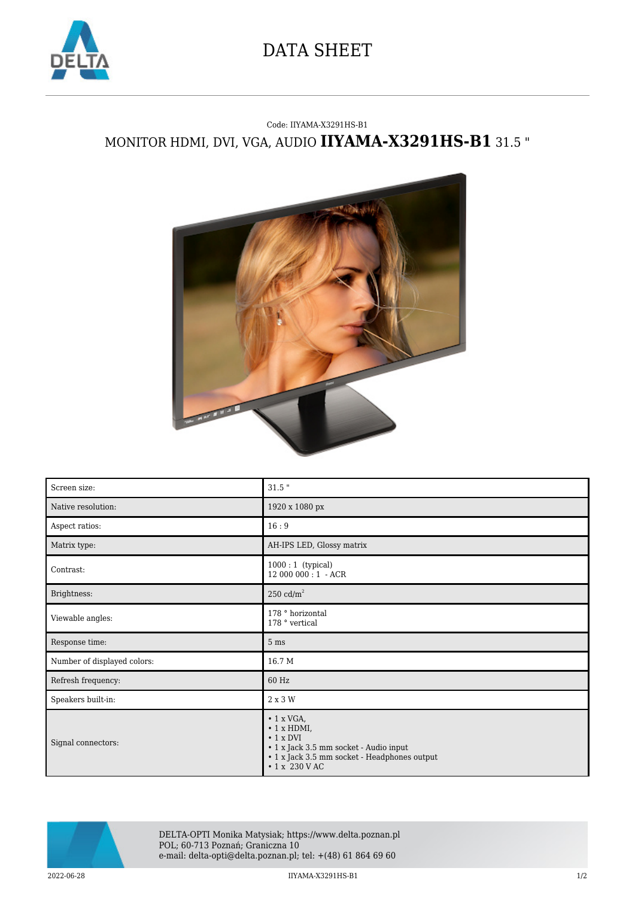

## DATA SHEET

## Code: IIYAMA-X3291HS-B1 MONITOR HDMI, DVI, VGA, AUDIO **IIYAMA-X3291HS-B1** 31.5 "



| Screen size:                | $31.5$ "                                                                                                                                                                   |
|-----------------------------|----------------------------------------------------------------------------------------------------------------------------------------------------------------------------|
| Native resolution:          | 1920 x 1080 px                                                                                                                                                             |
| Aspect ratios:              | 16:9                                                                                                                                                                       |
| Matrix type:                | AH-IPS LED, Glossy matrix                                                                                                                                                  |
| Contrast:                   | $1000:1$ (typical)<br>12 000 000:1 - ACR                                                                                                                                   |
| Brightness:                 | $250 \text{ cd/m}^2$                                                                                                                                                       |
| Viewable angles:            | 178 ° horizontal<br>178 ° vertical                                                                                                                                         |
| Response time:              | 5 <sub>ms</sub>                                                                                                                                                            |
| Number of displayed colors: | 16.7 M                                                                                                                                                                     |
| Refresh frequency:          | 60 Hz                                                                                                                                                                      |
| Speakers built-in:          | 2 x 3 W                                                                                                                                                                    |
| Signal connectors:          | $\cdot$ 1 x VGA,<br>$\cdot$ 1 x HDMI,<br>$\cdot$ 1 x DVI<br>• 1 x Jack 3.5 mm socket - Audio input<br>• 1 x Jack 3.5 mm socket - Headphones output<br>$\cdot$ 1 x 230 V AC |



DELTA-OPTI Monika Matysiak; https://www.delta.poznan.pl POL; 60-713 Poznań; Graniczna 10 e-mail: delta-opti@delta.poznan.pl; tel: +(48) 61 864 69 60